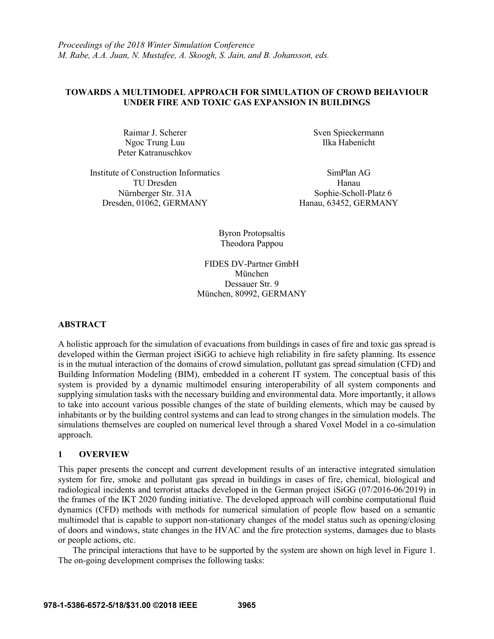## **TOWARDS A MULTIMODEL APPROACH FOR SIMULATION OF CROWD BEHAVIOUR UNDER FIRE AND TOXIC GAS EXPANSION IN BUILDINGS**

Ngoc Trung Luu Ilka Habenicht Peter Katranuschkov

Institute of Construction Informatics SimPlan AG TU Dresden Hanau Nürnberger Str. 31A Sophie-Scholl-Platz 6 Dresden, 01062, GERMANY Hanau, 63452, GERMANY

Raimar J. Scherer Sven Spieckermann

Byron Protopsaltis Theodora Pappou

FIDES DV-Partner GmbH München Dessauer Str. 9 München, 80992, GERMANY

## **ABSTRACT**

A holistic approach for the simulation of evacuations from buildings in cases of fire and toxic gas spread is developed within the German project iSiGG to achieve high reliability in fire safety planning. Its essence is in the mutual interaction of the domains of crowd simulation, pollutant gas spread simulation (CFD) and Building Information Modeling (BIM), embedded in a coherent IT system. The conceptual basis of this system is provided by a dynamic multimodel ensuring interoperability of all system components and supplying simulation tasks with the necessary building and environmental data. More importantly, it allows to take into account various possible changes of the state of building elements, which may be caused by inhabitants or by the building control systems and can lead to strong changes in the simulation models. The simulations themselves are coupled on numerical level through a shared Voxel Model in a co-simulation approach.

## **1 OVERVIEW**

This paper presents the concept and current development results of an interactive integrated simulation system for fire, smoke and pollutant gas spread in buildings in cases of fire, chemical, biological and radiological incidents and terrorist attacks developed in the German project iSiGG (07/2016-06/2019) in the frames of the IKT 2020 funding initiative. The developed approach will combine computational fluid dynamics (CFD) methods with methods for numerical simulation of people flow based on a semantic multimodel that is capable to support non-stationary changes of the model status such as opening/closing of doors and windows, state changes in the HVAC and the fire protection systems, damages due to blasts or people actions, etc.

The principal interactions that have to be supported by the system are shown on high level in Figure 1. The on-going development comprises the following tasks: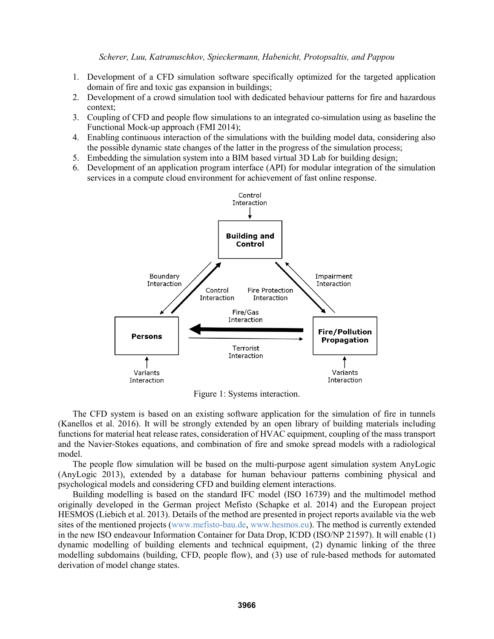- 1. Development of a CFD simulation software specifically optimized for the targeted application domain of fire and toxic gas expansion in buildings;
- 2. Development of a crowd simulation tool with dedicated behaviour patterns for fire and hazardous context;
- 3. Coupling of CFD and people flow simulations to an integrated co-simulation using as baseline the Functional Mock-up approach (FMI 2014);
- 4. Enabling continuous interaction of the simulations with the building model data, considering also the possible dynamic state changes of the latter in the progress of the simulation process;
- 5. Embedding the simulation system into a BIM based virtual 3D Lab for building design;
- 6. Development of an application program interface (API) for modular integration of the simulation services in a compute cloud environment for achievement of fast online response.



Figure 1: Systems interaction.

The CFD system is based on an existing software application for the simulation of fire in tunnels (Kanellos et al. 2016). It will be strongly extended by an open library of building materials including functions for material heat release rates, consideration of HVAC equipment, coupling of the mass transport and the Navier-Stokes equations, and combination of fire and smoke spread models with a radiological model.

The people flow simulation will be based on the multi-purpose agent simulation system AnyLogic (AnyLogic 2013), extended by a database for human behaviour patterns combining physical and psychological models and considering CFD and building element interactions.

Building modelling is based on the standard IFC model (ISO 16739) and the multimodel method originally developed in the German project Mefisto (Schapke et al. 2014) and the European project HESMOS (Liebich et al. 2013). Details of the method are presented in project reports available via the web sites of the mentioned projects (www.mefisto-bau.de, www.hesmos.eu). The method is currently extended in the new ISO endeavour Information Container for Data Drop, ICDD (ISO/NP 21597). It will enable (1) dynamic modelling of building elements and technical equipment, (2) dynamic linking of the three modelling subdomains (building, CFD, people flow), and (3) use of rule-based methods for automated derivation of model change states.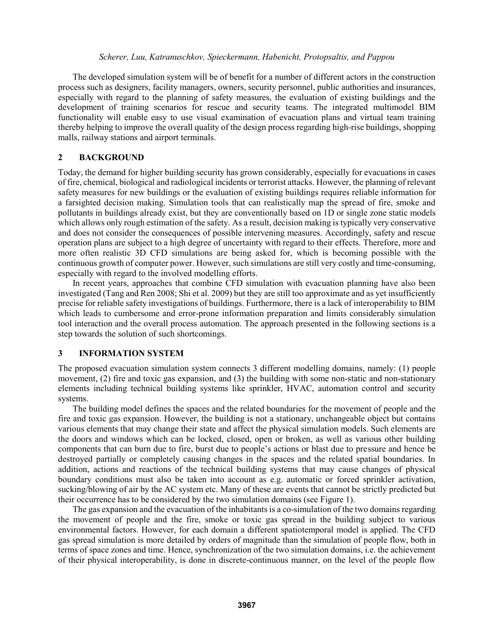The developed simulation system will be of benefit for a number of different actors in the construction process such as designers, facility managers, owners, security personnel, public authorities and insurances, especially with regard to the planning of safety measures, the evaluation of existing buildings and the development of training scenarios for rescue and security teams. The integrated multimodel BIM functionality will enable easy to use visual examination of evacuation plans and virtual team training thereby helping to improve the overall quality of the design process regarding high-rise buildings, shopping malls, railway stations and airport terminals.

## **2 BACKGROUND**

Today, the demand for higher building security has grown considerably, especially for evacuations in cases of fire, chemical, biological and radiological incidents or terrorist attacks. However, the planning of relevant safety measures for new buildings or the evaluation of existing buildings requires reliable information for a farsighted decision making. Simulation tools that can realistically map the spread of fire, smoke and pollutants in buildings already exist, but they are conventionally based on 1D or single zone static models which allows only rough estimation of the safety. As a result, decision making is typically very conservative and does not consider the consequences of possible intervening measures. Accordingly, safety and rescue operation plans are subject to a high degree of uncertainty with regard to their effects. Therefore, more and more often realistic 3D CFD simulations are being asked for, which is becoming possible with the continuous growth of computer power. However, such simulations are still very costly and time-consuming, especially with regard to the involved modelling efforts.

In recent years, approaches that combine CFD simulation with evacuation planning have also been investigated (Tang and Ren 2008; Shi et al. 2009) but they are still too approximate and as yet insufficiently precise for reliable safety investigations of buildings. Furthermore, there is a lack of interoperability to BIM which leads to cumbersome and error-prone information preparation and limits considerably simulation tool interaction and the overall process automation. The approach presented in the following sections is a step towards the solution of such shortcomings.

## **3 INFORMATION SYSTEM**

The proposed evacuation simulation system connects 3 different modelling domains, namely: (1) people movement, (2) fire and toxic gas expansion, and (3) the building with some non-static and non-stationary elements including technical building systems like sprinkler, HVAC, automation control and security systems.

The building model defines the spaces and the related boundaries for the movement of people and the fire and toxic gas expansion. However, the building is not a stationary, unchangeable object but contains various elements that may change their state and affect the physical simulation models. Such elements are the doors and windows which can be locked, closed, open or broken, as well as various other building components that can burn due to fire, burst due to people's actions or blast due to pressure and hence be destroyed partially or completely causing changes in the spaces and the related spatial boundaries. In addition, actions and reactions of the technical building systems that may cause changes of physical boundary conditions must also be taken into account as e.g. automatic or forced sprinkler activation, sucking/blowing of air by the AC system etc. Many of these are events that cannot be strictly predicted but their occurrence has to be considered by the two simulation domains (see Figure 1).

The gas expansion and the evacuation of the inhabitants is a co-simulation of the two domains regarding the movement of people and the fire, smoke or toxic gas spread in the building subject to various environmental factors. However, for each domain a different spatiotemporal model is applied. The CFD gas spread simulation is more detailed by orders of magnitude than the simulation of people flow, both in terms of space zones and time. Hence, synchronization of the two simulation domains, i.e. the achievement of their physical interoperability, is done in discrete-continuous manner, on the level of the people flow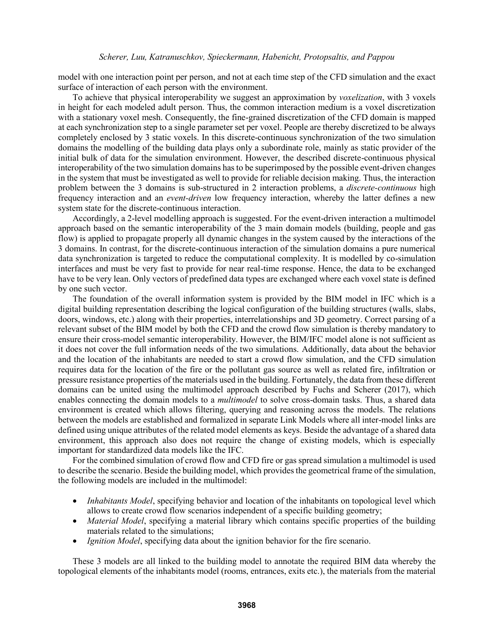model with one interaction point per person, and not at each time step of the CFD simulation and the exact surface of interaction of each person with the environment.

To achieve that physical interoperability we suggest an approximation by *voxelization*, with 3 voxels in height for each modeled adult person. Thus, the common interaction medium is a voxel discretization with a stationary voxel mesh. Consequently, the fine-grained discretization of the CFD domain is mapped at each synchronization step to a single parameter set per voxel. People are thereby discretized to be always completely enclosed by 3 static voxels. In this discrete-continuous synchronization of the two simulation domains the modelling of the building data plays only a subordinate role, mainly as static provider of the initial bulk of data for the simulation environment. However, the described discrete-continuous physical interoperability of the two simulation domains has to be superimposed by the possible event-driven changes in the system that must be investigated as well to provide for reliable decision making. Thus, the interaction problem between the 3 domains is sub-structured in 2 interaction problems, a *discrete-continuous* high frequency interaction and an *event-driven* low frequency interaction, whereby the latter defines a new system state for the discrete-continuous interaction.

Accordingly, a 2-level modelling approach is suggested. For the event-driven interaction a multimodel approach based on the semantic interoperability of the 3 main domain models (building, people and gas flow) is applied to propagate properly all dynamic changes in the system caused by the interactions of the 3 domains. In contrast, for the discrete-continuous interaction of the simulation domains a pure numerical data synchronization is targeted to reduce the computational complexity. It is modelled by co-simulation interfaces and must be very fast to provide for near real-time response. Hence, the data to be exchanged have to be very lean. Only vectors of predefined data types are exchanged where each voxel state is defined by one such vector.

The foundation of the overall information system is provided by the BIM model in IFC which is a digital building representation describing the logical configuration of the building structures (walls, slabs, doors, windows, etc.) along with their properties, interrelationships and 3D geometry. Correct parsing of a relevant subset of the BIM model by both the CFD and the crowd flow simulation is thereby mandatory to ensure their cross-model semantic interoperability. However, the BIM/IFC model alone is not sufficient as it does not cover the full information needs of the two simulations. Additionally, data about the behavior and the location of the inhabitants are needed to start a crowd flow simulation, and the CFD simulation requires data for the location of the fire or the pollutant gas source as well as related fire, infiltration or pressure resistance properties of the materials used in the building. Fortunately, the data from these different domains can be united using the multimodel approach described by Fuchs and Scherer (2017), which enables connecting the domain models to a *multimodel* to solve cross-domain tasks. Thus, a shared data environment is created which allows filtering, querying and reasoning across the models. The relations between the models are established and formalized in separate Link Models where all inter-model links are defined using unique attributes of the related model elements as keys. Beside the advantage of a shared data environment, this approach also does not require the change of existing models, which is especially important for standardized data models like the IFC.

For the combined simulation of crowd flow and CFD fire or gas spread simulation a multimodel is used to describe the scenario. Beside the building model, which provides the geometrical frame of the simulation, the following models are included in the multimodel:

- *Inhabitants Model*, specifying behavior and location of the inhabitants on topological level which allows to create crowd flow scenarios independent of a specific building geometry;
- *Material Model*, specifying a material library which contains specific properties of the building materials related to the simulations;
- *Ignition Model*, specifying data about the ignition behavior for the fire scenario.

These 3 models are all linked to the building model to annotate the required BIM data whereby the topological elements of the inhabitants model (rooms, entrances, exits etc.), the materials from the material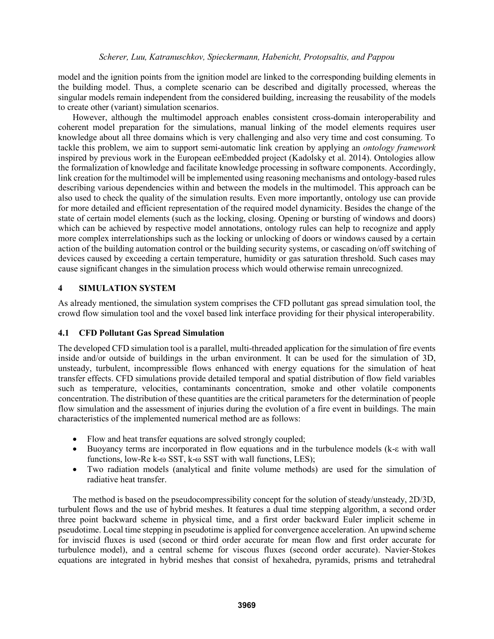model and the ignition points from the ignition model are linked to the corresponding building elements in the building model. Thus, a complete scenario can be described and digitally processed, whereas the singular models remain independent from the considered building, increasing the reusability of the models to create other (variant) simulation scenarios.

However, although the multimodel approach enables consistent cross-domain interoperability and coherent model preparation for the simulations, manual linking of the model elements requires user knowledge about all three domains which is very challenging and also very time and cost consuming. To tackle this problem, we aim to support semi-automatic link creation by applying an *ontology framework* inspired by previous work in the European eeEmbedded project (Kadolsky et al. 2014). Ontologies allow the formalization of knowledge and facilitate knowledge processing in software components. Accordingly, link creation for the multimodel will be implemented using reasoning mechanisms and ontology-based rules describing various dependencies within and between the models in the multimodel. This approach can be also used to check the quality of the simulation results. Even more importantly, ontology use can provide for more detailed and efficient representation of the required model dynamicity. Besides the change of the state of certain model elements (such as the locking, closing. Opening or bursting of windows and doors) which can be achieved by respective model annotations, ontology rules can help to recognize and apply more complex interrelationships such as the locking or unlocking of doors or windows caused by a certain action of the building automation control or the building security systems, or cascading on/off switching of devices caused by exceeding a certain temperature, humidity or gas saturation threshold. Such cases may cause significant changes in the simulation process which would otherwise remain unrecognized.

# **4 SIMULATION SYSTEM**

As already mentioned, the simulation system comprises the CFD pollutant gas spread simulation tool, the crowd flow simulation tool and the voxel based link interface providing for their physical interoperability.

## **4.1 CFD Pollutant Gas Spread Simulation**

The developed CFD simulation tool is a parallel, multi-threaded application for the simulation of fire events inside and/or outside of buildings in the urban environment. It can be used for the simulation of 3D, unsteady, turbulent, incompressible flows enhanced with energy equations for the simulation of heat transfer effects. CFD simulations provide detailed temporal and spatial distribution of flow field variables such as temperature, velocities, contaminants concentration, smoke and other volatile components concentration. The distribution of these quantities are the critical parameters for the determination of people flow simulation and the assessment of injuries during the evolution of a fire event in buildings. The main characteristics of the implemented numerical method are as follows:

- Flow and heat transfer equations are solved strongly coupled;
- Buoyancy terms are incorporated in flow equations and in the turbulence models (k-ε with wall functions, low-Re k-ω SST, k-ω SST with wall functions, LES);
- Two radiation models (analytical and finite volume methods) are used for the simulation of radiative heat transfer.

The method is based on the pseudocompressibility concept for the solution of steady/unsteady, 2D/3D, turbulent flows and the use of hybrid meshes. It features a dual time stepping algorithm, a second order three point backward scheme in physical time, and a first order backward Euler implicit scheme in pseudotime. Local time stepping in pseudotime is applied for convergence acceleration. An upwind scheme for inviscid fluxes is used (second or third order accurate for mean flow and first order accurate for turbulence model), and a central scheme for viscous fluxes (second order accurate). Navier-Stokes equations are integrated in hybrid meshes that consist of hexahedra, pyramids, prisms and tetrahedral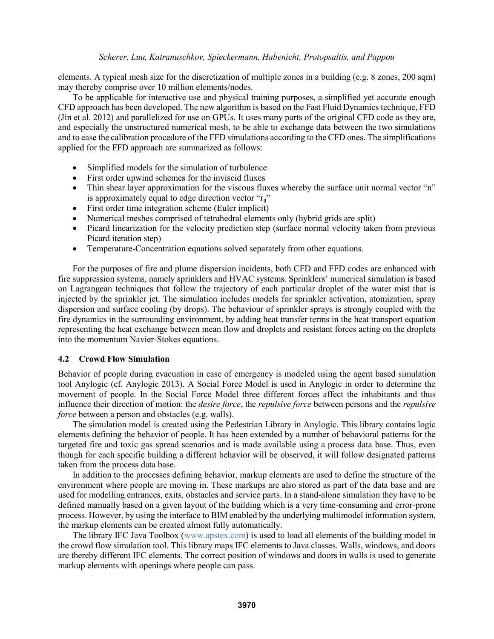elements. A typical mesh size for the discretization of multiple zones in a building (e.g. 8 zones, 200 sqm) may thereby comprise over 10 million elements/nodes.

To be applicable for interactive use and physical training purposes, a simplified yet accurate enough CFD approach has been developed. The new algorithm is based on the Fast Fluid Dynamics technique, FFD (Jin et al. 2012) and parallelized for use on GPUs. It uses many parts of the original CFD code as they are, and especially the unstructured numerical mesh, to be able to exchange data between the two simulations and to ease the calibration procedure of the FFD simulations according to the CFD ones. The simplifications applied for the FFD approach are summarized as follows:

- Simplified models for the simulation of turbulence
- First order upwind schemes for the inviscid fluxes
- Thin shear layer approximation for the viscous fluxes whereby the surface unit normal vector "n" is approximately equal to edge direction vector " $r_{ii}$ "
- First order time integration scheme (Euler implicit)
- Numerical meshes comprised of tetrahedral elements only (hybrid grids are split)
- Picard linearization for the velocity prediction step (surface normal velocity taken from previous Picard iteration step)
- Temperature-Concentration equations solved separately from other equations.

For the purposes of fire and plume dispersion incidents, both CFD and FFD codes are enhanced with fire suppression systems, namely sprinklers and HVAC systems. Sprinklers' numerical simulation is based on Lagrangean techniques that follow the trajectory of each particular droplet of the water mist that is injected by the sprinkler jet. The simulation includes models for sprinkler activation, atomization, spray dispersion and surface cooling (by drops). The behaviour of sprinkler sprays is strongly coupled with the fire dynamics in the surrounding environment, by adding heat transfer terms in the heat transport equation representing the heat exchange between mean flow and droplets and resistant forces acting on the droplets into the momentum Navier-Stokes equations.

### **4.2 Crowd Flow Simulation**

Behavior of people during evacuation in case of emergency is modeled using the agent based simulation tool Anylogic (cf. Anylogic 2013). A Social Force Model is used in Anylogic in order to determine the movement of people. In the Social Force Model three different forces affect the inhabitants and thus influence their direction of motion: the *desire force*, the *repulsive force* between persons and the *repulsive force* between a person and obstacles (e.g. walls).

The simulation model is created using the Pedestrian Library in Anylogic. This library contains logic elements defining the behavior of people. It has been extended by a number of behavioral patterns for the targeted fire and toxic gas spread scenarios and is made available using a process data base. Thus, even though for each specific building a different behavior will be observed, it will follow designated patterns taken from the process data base.

In addition to the processes defining behavior, markup elements are used to define the structure of the environment where people are moving in. These markups are also stored as part of the data base and are used for modelling entrances, exits, obstacles and service parts. In a stand-alone simulation they have to be defined manually based on a given layout of the building which is a very time-consuming and error-prone process. However, by using the interface to BIM enabled by the underlying multimodel information system, the markup elements can be created almost fully automatically.

The library IFC Java Toolbox (www.apstex.com) is used to load all elements of the building model in the crowd flow simulation tool. This library maps IFC elements to Java classes. Walls, windows, and doors are thereby different IFC elements. The correct position of windows and doors in walls is used to generate markup elements with openings where people can pass.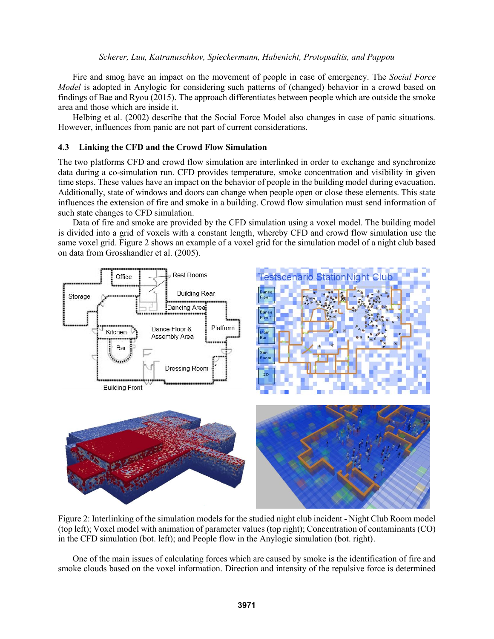Fire and smog have an impact on the movement of people in case of emergency. The *Social Force Model* is adopted in Anylogic for considering such patterns of (changed) behavior in a crowd based on findings of Bae and Ryou (2015). The approach differentiates between people which are outside the smoke area and those which are inside it.

Helbing et al. (2002) describe that the Social Force Model also changes in case of panic situations. However, influences from panic are not part of current considerations.

#### **4.3 Linking the CFD and the Crowd Flow Simulation**

The two platforms CFD and crowd flow simulation are interlinked in order to exchange and synchronize data during a co-simulation run. CFD provides temperature, smoke concentration and visibility in given time steps. These values have an impact on the behavior of people in the building model during evacuation. Additionally, state of windows and doors can change when people open or close these elements. This state influences the extension of fire and smoke in a building. Crowd flow simulation must send information of such state changes to CFD simulation.

Data of fire and smoke are provided by the CFD simulation using a voxel model. The building model is divided into a grid of voxels with a constant length, whereby CFD and crowd flow simulation use the same voxel grid. Figure 2 shows an example of a voxel grid for the simulation model of a night club based on data from Grosshandler et al. (2005).



Figure 2: Interlinking of the simulation models for the studied night club incident - Night Club Room model (top left); Voxel model with animation of parameter values (top right); Concentration of contaminants (CO) in the CFD simulation (bot. left); and People flow in the Anylogic simulation (bot. right).

One of the main issues of calculating forces which are caused by smoke is the identification of fire and smoke clouds based on the voxel information. Direction and intensity of the repulsive force is determined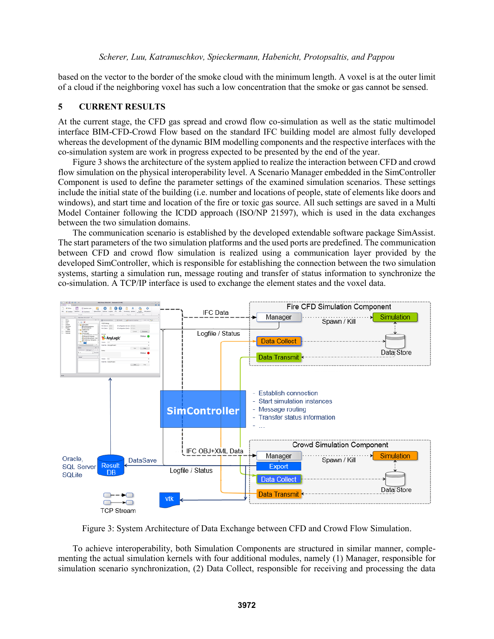based on the vector to the border of the smoke cloud with the minimum length. A voxel is at the outer limit of a cloud if the neighboring voxel has such a low concentration that the smoke or gas cannot be sensed.

### **5 CURRENT RESULTS**

At the current stage, the CFD gas spread and crowd flow co-simulation as well as the static multimodel interface BIM-CFD-Crowd Flow based on the standard IFC building model are almost fully developed whereas the development of the dynamic BIM modelling components and the respective interfaces with the co-simulation system are work in progress expected to be presented by the end of the year.

Figure 3 shows the architecture of the system applied to realize the interaction between CFD and crowd flow simulation on the physical interoperability level. A Scenario Manager embedded in the SimController Component is used to define the parameter settings of the examined simulation scenarios. These settings include the initial state of the building (i.e. number and locations of people, state of elements like doors and windows), and start time and location of the fire or toxic gas source. All such settings are saved in a Multi Model Container following the ICDD approach (ISO/NP 21597), which is used in the data exchanges between the two simulation domains.

The communication scenario is established by the developed extendable software package SimAssist. The start parameters of the two simulation platforms and the used ports are predefined. The communication between CFD and crowd flow simulation is realized using a communication layer provided by the developed SimController, which is responsible for establishing the connection between the two simulation systems, starting a simulation run, message routing and transfer of status information to synchronize the co-simulation. A TCP/IP interface is used to exchange the element states and the voxel data.



Figure 3: System Architecture of Data Exchange between CFD and Crowd Flow Simulation.

To achieve interoperability, both Simulation Components are structured in similar manner, complementing the actual simulation kernels with four additional modules, namely (1) Manager, responsible for simulation scenario synchronization, (2) Data Collect, responsible for receiving and processing the data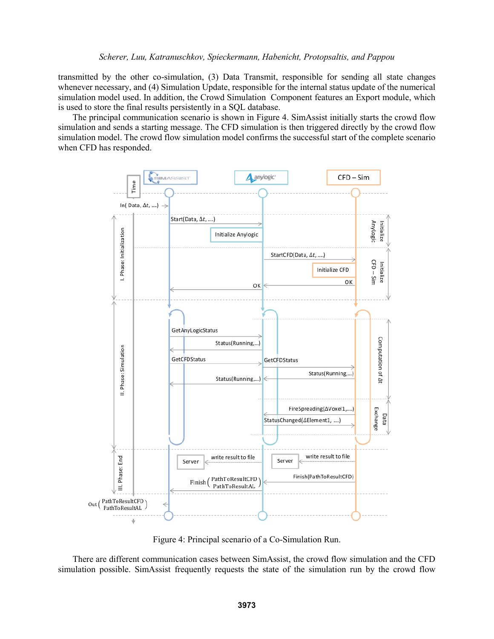transmitted by the other co-simulation, (3) Data Transmit, responsible for sending all state changes whenever necessary, and (4) Simulation Update, responsible for the internal status update of the numerical simulation model used. In addition, the Crowd Simulation Component features an Export module, which is used to store the final results persistently in a SQL database.

The principal communication scenario is shown in Figure 4. SimAssist initially starts the crowd flow simulation and sends a starting message. The CFD simulation is then triggered directly by the crowd flow simulation model. The crowd flow simulation model confirms the successful start of the complete scenario when CFD has responded.



Figure 4: Principal scenario of a Co-Simulation Run.

There are different communication cases between SimAssist, the crowd flow simulation and the CFD simulation possible. SimAssist frequently requests the state of the simulation run by the crowd flow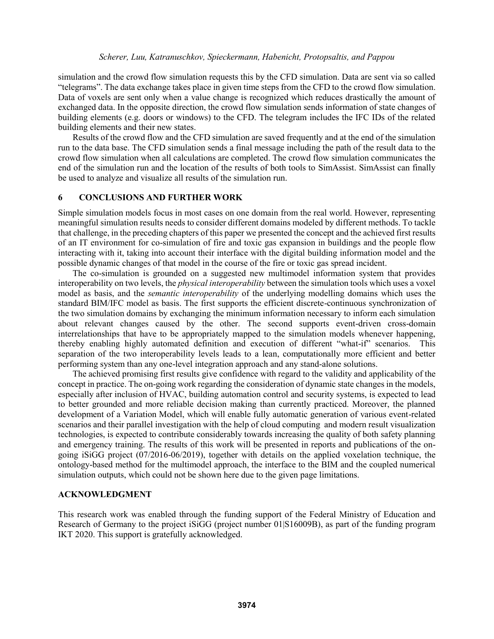simulation and the crowd flow simulation requests this by the CFD simulation. Data are sent via so called "telegrams". The data exchange takes place in given time steps from the CFD to the crowd flow simulation. Data of voxels are sent only when a value change is recognized which reduces drastically the amount of exchanged data. In the opposite direction, the crowd flow simulation sends information of state changes of building elements (e.g. doors or windows) to the CFD. The telegram includes the IFC IDs of the related building elements and their new states.

Results of the crowd flow and the CFD simulation are saved frequently and at the end of the simulation run to the data base. The CFD simulation sends a final message including the path of the result data to the crowd flow simulation when all calculations are completed. The crowd flow simulation communicates the end of the simulation run and the location of the results of both tools to SimAssist. SimAssist can finally be used to analyze and visualize all results of the simulation run.

## **6 CONCLUSIONS AND FURTHER WORK**

Simple simulation models focus in most cases on one domain from the real world. However, representing meaningful simulation results needs to consider different domains modeled by different methods. To tackle that challenge, in the preceding chapters of this paper we presented the concept and the achieved first results of an IT environment for co-simulation of fire and toxic gas expansion in buildings and the people flow interacting with it, taking into account their interface with the digital building information model and the possible dynamic changes of that model in the course of the fire or toxic gas spread incident.

The co-simulation is grounded on a suggested new multimodel information system that provides interoperability on two levels, the *physical interoperability* between the simulation tools which uses a voxel model as basis, and the *semantic interoperability* of the underlying modelling domains which uses the standard BIM/IFC model as basis. The first supports the efficient discrete-continuous synchronization of the two simulation domains by exchanging the minimum information necessary to inform each simulation about relevant changes caused by the other. The second supports event-driven cross-domain interrelationships that have to be appropriately mapped to the simulation models whenever happening, thereby enabling highly automated definition and execution of different "what-if" scenarios. This separation of the two interoperability levels leads to a lean, computationally more efficient and better performing system than any one-level integration approach and any stand-alone solutions.

The achieved promising first results give confidence with regard to the validity and applicability of the concept in practice. The on-going work regarding the consideration of dynamic state changes in the models, especially after inclusion of HVAC, building automation control and security systems, is expected to lead to better grounded and more reliable decision making than currently practiced. Moreover, the planned development of a Variation Model, which will enable fully automatic generation of various event-related scenarios and their parallel investigation with the help of cloud computing and modern result visualization technologies, is expected to contribute considerably towards increasing the quality of both safety planning and emergency training. The results of this work will be presented in reports and publications of the ongoing iSiGG project (07/2016-06/2019), together with details on the applied voxelation technique, the ontology-based method for the multimodel approach, the interface to the BIM and the coupled numerical simulation outputs, which could not be shown here due to the given page limitations.

#### **ACKNOWLEDGMENT**

This research work was enabled through the funding support of the Federal Ministry of Education and Research of Germany to the project iSiGG (project number 01|S16009B), as part of the funding program IKT 2020. This support is gratefully acknowledged.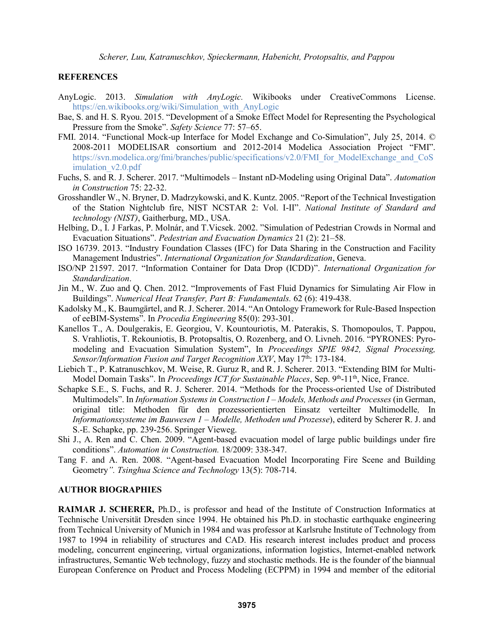### **REFERENCES**

- AnyLogic. 2013. *Simulation with AnyLogic.* Wikibooks under CreativeCommons License. https://en.wikibooks.org/wiki/Simulation\_with\_AnyLogic
- Bae, S. and H. S. Ryou. 2015. "Development of a Smoke Effect Model for Representing the Psychological Pressure from the Smoke". *Safety Science* 77: 57–65.
- FMI. 2014. "Functional Mock-up Interface for Model Exchange and Co-Simulation", July 25, 2014. © 2008-2011 MODELISAR consortium and 2012-2014 Modelica Association Project "FMI". https://svn.modelica.org/fmi/branches/public/specifications/v2.0/FMI\_for\_ModelExchange\_and\_CoS imulation\_v2.0.pdf
- Fuchs, S. and R. J. Scherer. 2017. "Multimodels Instant nD-Modeling using Original Data". *Automation in Construction* 75: 22-32.
- Grosshandler W., N. Bryner, D. Madrzykowski, and K. Kuntz. 2005. "Report of the Technical Investigation of the Station Nightclub fire, NIST NCSTAR 2: Vol. I-II". *National Institute of Standard and technology (NIST)*, Gaitherburg, MD., USA.
- Helbing, D., I. J Farkas, P. Molnár, and T.Vicsek. 2002. "Simulation of Pedestrian Crowds in Normal and Evacuation Situations". *Pedestrian and Evacuation Dynamics* 21 (2): 21–58.
- ISO 16739. 2013. "Industry Foundation Classes (IFC) for Data Sharing in the Construction and Facility Management Industries". *International Organization for Standardization*, Geneva.
- ISO/NP 21597. 2017. "Information Container for Data Drop (ICDD)". *International Organization for Standardization*.
- Jin M., W. Zuo and Q. Chen. 2012. "Improvements of Fast Fluid Dynamics for Simulating Air Flow in Buildings". *Numerical Heat Transfer, Part B: Fundamentals.* 62 (6): 419-438.
- Kadolsky M., K. Baumgärtel, and R. J. Scherer. 2014. "An Ontology Framework for Rule-Based Inspection of eeBIM-Systems". In *Procedia Engineering* 85(0): 293-301.
- Kanellos T., A. Doulgerakis, E. Georgiou, V. Kountouriotis, M. Paterakis, S. Thomopoulos, T. Pappou, S. Vrahliotis, T. Rekouniotis, B. Protopsaltis, O. Rozenberg, and O. Livneh. 2016. "PYRONES: Pyromodeling and Evacuation Simulation System", In *Proceedings SPIE 9842, Signal Processing,*  Sensor/Information Fusion and Target Recognition XXV, May 17<sup>th</sup>: 173-184.
- Liebich T., P. Katranuschkov, M. Weise, R. Guruz R, and R. J. Scherer. 2013. "Extending BIM for Multi-Model Domain Tasks". In *Proceedings ICT for Sustainable Places*, Sep. 9<sup>th</sup>-11<sup>th</sup>, Nice, France.
- Schapke S.E., S. Fuchs, and R. J. Scherer. 2014. "Methods for the Process-oriented Use of Distributed Multimodels". In *Information Systems in Construction I – Models, Methods and Processes* (in German, original title: Methoden für den prozessorientierten Einsatz verteilter Multimodelle*,* In *Informationssysteme im Bauwesen 1 – Modelle, Methoden und Prozesse*), editerd by Scherer R. J. and S.-E. Schapke, pp. 239-256. Springer Vieweg.
- Shi J., A. Ren and C. Chen. 2009. "Agent-based evacuation model of large public buildings under fire conditions". *Automation in Construction.* 18/2009: 338-347.
- Tang F. and A. Ren. 2008. "Agent-based Evacuation Model Incorporating Fire Scene and Building Geometry*". Tsinghua Science and Technology* 13(5): 708-714.

### **AUTHOR BIOGRAPHIES**

**RAIMAR J. SCHERER,** Ph.D., is professor and head of the Institute of Construction Informatics at Technische Universität Dresden since 1994. He obtained his Ph.D. in stochastic earthquake engineering from Technical University of Munich in 1984 and was professor at Karlsruhe Institute of Technology from 1987 to 1994 in reliability of structures and CAD. His research interest includes product and process modeling, concurrent engineering, virtual organizations, information logistics, Internet-enabled network infrastructures, Semantic Web technology, fuzzy and stochastic methods. He is the founder of the biannual European Conference on Product and Process Modeling (ECPPM) in 1994 and member of the editorial